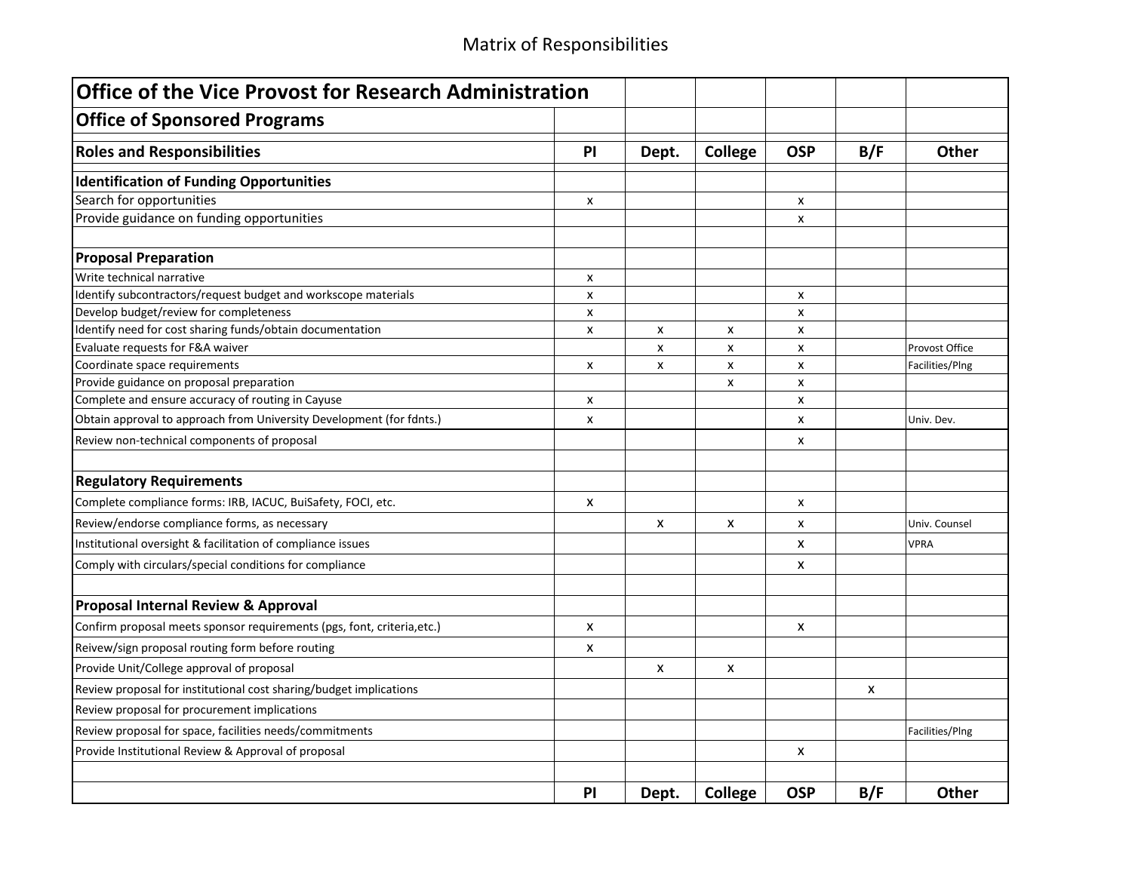| <b>Office of the Vice Provost for Research Administration</b>           |                           |       |                           |            |     |                       |
|-------------------------------------------------------------------------|---------------------------|-------|---------------------------|------------|-----|-----------------------|
| <b>Office of Sponsored Programs</b>                                     |                           |       |                           |            |     |                       |
| <b>Roles and Responsibilities</b>                                       | PI                        | Dept. | College                   | <b>OSP</b> | B/F | Other                 |
| <b>Identification of Funding Opportunities</b>                          |                           |       |                           |            |     |                       |
| Search for opportunities                                                | X                         |       |                           | x          |     |                       |
| Provide guidance on funding opportunities                               |                           |       |                           | x          |     |                       |
| <b>Proposal Preparation</b>                                             |                           |       |                           |            |     |                       |
| Write technical narrative                                               | x                         |       |                           |            |     |                       |
| Identify subcontractors/request budget and workscope materials          | x                         |       |                           | x          |     |                       |
| Develop budget/review for completeness                                  | X                         |       |                           | x          |     |                       |
| Identify need for cost sharing funds/obtain documentation               | x                         | x     | X                         | x          |     |                       |
| Evaluate requests for F&A waiver                                        |                           | x     | $\boldsymbol{\mathsf{x}}$ | x          |     | <b>Provost Office</b> |
| Coordinate space requirements                                           | X                         | X     | $\boldsymbol{\mathsf{x}}$ | x          |     | Facilities/Plng       |
| Provide guidance on proposal preparation                                |                           |       | x                         | x          |     |                       |
| Complete and ensure accuracy of routing in Cayuse                       | X                         |       |                           | x          |     |                       |
| Obtain approval to approach from University Development (for fdnts.)    | X                         |       |                           | x          |     | Univ. Dev.            |
| Review non-technical components of proposal                             |                           |       |                           | x          |     |                       |
| <b>Regulatory Requirements</b>                                          |                           |       |                           |            |     |                       |
| Complete compliance forms: IRB, IACUC, BuiSafety, FOCI, etc.            | X                         |       |                           | x          |     |                       |
| Review/endorse compliance forms, as necessary                           |                           | X     | X                         | x          |     | Univ. Counsel         |
| Institutional oversight & facilitation of compliance issues             |                           |       |                           | x          |     | <b>VPRA</b>           |
| Comply with circulars/special conditions for compliance                 |                           |       |                           | X          |     |                       |
| Proposal Internal Review & Approval                                     |                           |       |                           |            |     |                       |
| Confirm proposal meets sponsor requirements (pgs, font, criteria, etc.) | $\boldsymbol{\mathsf{x}}$ |       |                           | x          |     |                       |
| Reivew/sign proposal routing form before routing                        | X                         |       |                           |            |     |                       |
| Provide Unit/College approval of proposal                               |                           | x     | X                         |            |     |                       |
| Review proposal for institutional cost sharing/budget implications      |                           |       |                           |            | X   |                       |
| Review proposal for procurement implications                            |                           |       |                           |            |     |                       |
| Review proposal for space, facilities needs/commitments                 |                           |       |                           |            |     | Facilities/Plng       |
| Provide Institutional Review & Approval of proposal                     |                           |       |                           | X          |     |                       |
|                                                                         | PI                        | Dept. | College                   | <b>OSP</b> | B/F | Other                 |
|                                                                         |                           |       |                           |            |     |                       |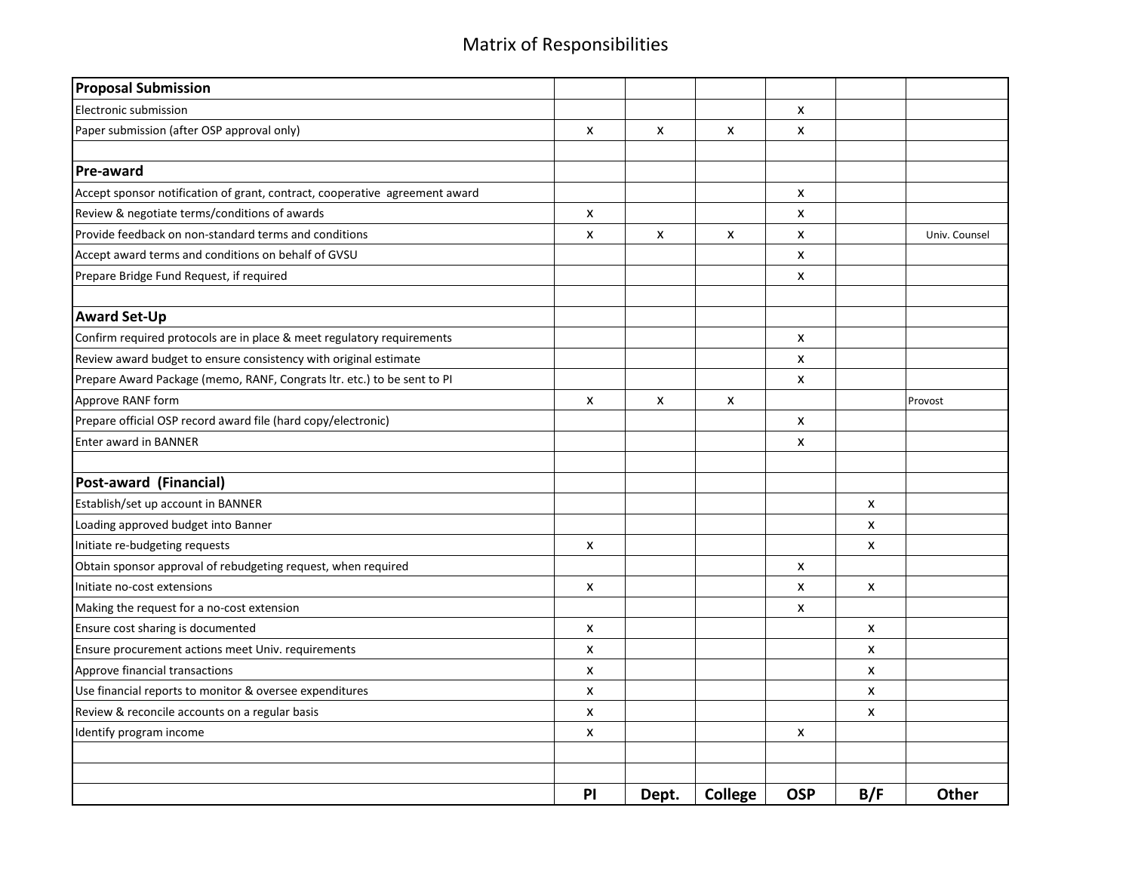| <b>Proposal Submission</b>                                                  |                    |       |         |            |                           |               |
|-----------------------------------------------------------------------------|--------------------|-------|---------|------------|---------------------------|---------------|
| Electronic submission                                                       |                    |       |         | X          |                           |               |
| Paper submission (after OSP approval only)                                  | X                  | X     | X       | X          |                           |               |
|                                                                             |                    |       |         |            |                           |               |
| <b>Pre-award</b>                                                            |                    |       |         |            |                           |               |
| Accept sponsor notification of grant, contract, cooperative agreement award |                    |       |         | X          |                           |               |
| Review & negotiate terms/conditions of awards                               | X                  |       |         | x          |                           |               |
| Provide feedback on non-standard terms and conditions                       | X                  | x     | X       | X          |                           | Univ. Counsel |
| Accept award terms and conditions on behalf of GVSU                         |                    |       |         | x          |                           |               |
| Prepare Bridge Fund Request, if required                                    |                    |       |         | X          |                           |               |
| <b>Award Set-Up</b>                                                         |                    |       |         |            |                           |               |
| Confirm required protocols are in place & meet regulatory requirements      |                    |       |         | X          |                           |               |
| Review award budget to ensure consistency with original estimate            |                    |       |         | X          |                           |               |
| Prepare Award Package (memo, RANF, Congrats ltr. etc.) to be sent to PI     |                    |       |         | X          |                           |               |
| Approve RANF form                                                           | X                  | X     | X       |            |                           | Provost       |
| Prepare official OSP record award file (hard copy/electronic)               |                    |       |         | X          |                           |               |
| Enter award in BANNER                                                       |                    |       |         | X          |                           |               |
| Post-award (Financial)                                                      |                    |       |         |            |                           |               |
| Establish/set up account in BANNER                                          |                    |       |         |            | $\pmb{\times}$            |               |
| Loading approved budget into Banner                                         |                    |       |         |            | $\boldsymbol{\mathsf{x}}$ |               |
| Initiate re-budgeting requests                                              | X                  |       |         |            | X                         |               |
| Obtain sponsor approval of rebudgeting request, when required               |                    |       |         | X          |                           |               |
| Initiate no-cost extensions                                                 | X                  |       |         | X          | X                         |               |
| Making the request for a no-cost extension                                  |                    |       |         | X          |                           |               |
| Ensure cost sharing is documented                                           | X                  |       |         |            | X                         |               |
| Ensure procurement actions meet Univ. requirements                          | X                  |       |         |            | X                         |               |
| Approve financial transactions                                              | $\pmb{\mathsf{x}}$ |       |         |            | X                         |               |
| Use financial reports to monitor & oversee expenditures                     | X                  |       |         |            | X                         |               |
| Review & reconcile accounts on a regular basis                              | X                  |       |         |            | X                         |               |
| Identify program income                                                     | X                  |       |         | X          |                           |               |
|                                                                             |                    |       |         |            |                           |               |
|                                                                             | PI                 | Dept. | College | <b>OSP</b> | B/F                       | Other         |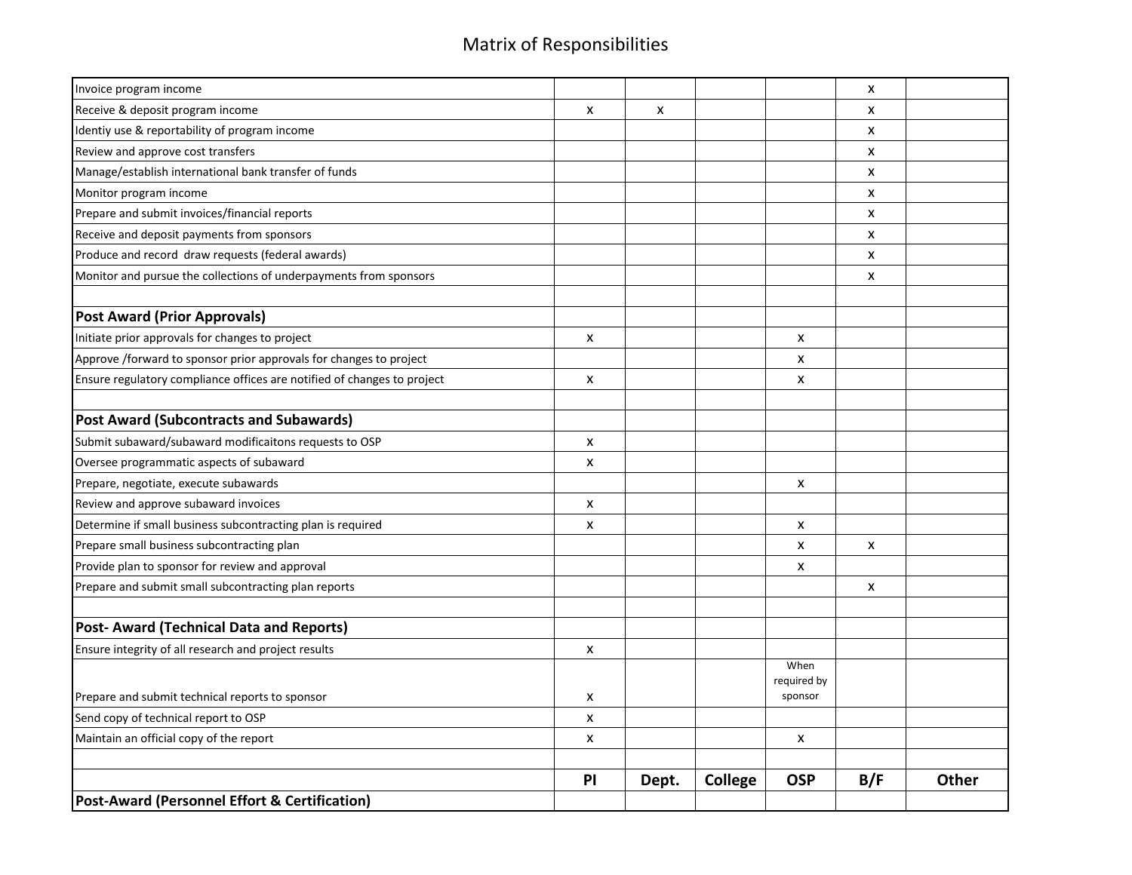| Invoice program income                                                  |                           |       |         |                     | X            |       |
|-------------------------------------------------------------------------|---------------------------|-------|---------|---------------------|--------------|-------|
| Receive & deposit program income                                        | X                         | X     |         |                     | x            |       |
| Identiy use & reportability of program income                           |                           |       |         |                     | X            |       |
| Review and approve cost transfers                                       |                           |       |         |                     | X            |       |
| Manage/establish international bank transfer of funds                   |                           |       |         |                     | X            |       |
| Monitor program income                                                  |                           |       |         |                     | X            |       |
| Prepare and submit invoices/financial reports                           |                           |       |         |                     | X            |       |
| Receive and deposit payments from sponsors                              |                           |       |         |                     | X            |       |
| Produce and record draw requests (federal awards)                       |                           |       |         |                     | X            |       |
| Monitor and pursue the collections of underpayments from sponsors       |                           |       |         |                     | X            |       |
| <b>Post Award (Prior Approvals)</b>                                     |                           |       |         |                     |              |       |
| Initiate prior approvals for changes to project                         | X                         |       |         | X                   |              |       |
| Approve /forward to sponsor prior approvals for changes to project      |                           |       |         | X                   |              |       |
| Ensure regulatory compliance offices are notified of changes to project | $\boldsymbol{\mathsf{x}}$ |       |         | X                   |              |       |
|                                                                         |                           |       |         |                     |              |       |
| <b>Post Award (Subcontracts and Subawards)</b>                          |                           |       |         |                     |              |       |
| Submit subaward/subaward modificaitons requests to OSP                  | X                         |       |         |                     |              |       |
| Oversee programmatic aspects of subaward                                | X                         |       |         |                     |              |       |
| Prepare, negotiate, execute subawards                                   |                           |       |         | X                   |              |       |
| Review and approve subaward invoices                                    | X                         |       |         |                     |              |       |
| Determine if small business subcontracting plan is required             | $\boldsymbol{\mathsf{x}}$ |       |         | X                   |              |       |
| Prepare small business subcontracting plan                              |                           |       |         | X                   | $\mathsf{x}$ |       |
| Provide plan to sponsor for review and approval                         |                           |       |         | X                   |              |       |
| Prepare and submit small subcontracting plan reports                    |                           |       |         |                     | X            |       |
| <b>Post-Award (Technical Data and Reports)</b>                          |                           |       |         |                     |              |       |
| Ensure integrity of all research and project results                    | X                         |       |         |                     |              |       |
|                                                                         |                           |       |         | When<br>required by |              |       |
| Prepare and submit technical reports to sponsor                         | X                         |       |         | sponsor             |              |       |
| Send copy of technical report to OSP                                    | X                         |       |         |                     |              |       |
| Maintain an official copy of the report                                 | X                         |       |         | X                   |              |       |
|                                                                         |                           |       |         |                     |              |       |
|                                                                         | PI                        | Dept. | College | <b>OSP</b>          | B/F          | Other |
| Post-Award (Personnel Effort & Certification)                           |                           |       |         |                     |              |       |